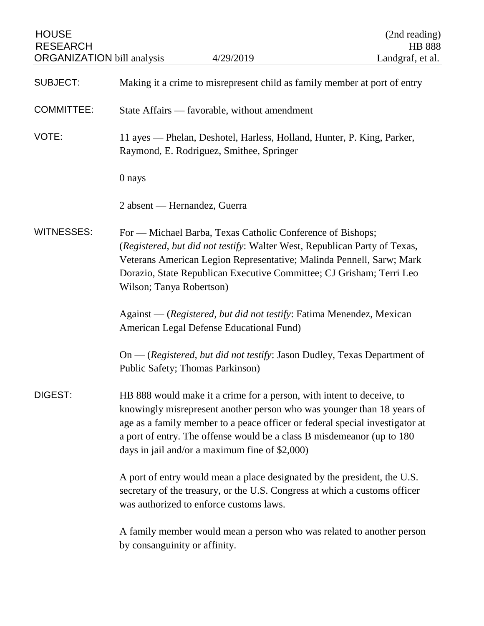| <b>HOUSE</b><br><b>RESEARCH</b><br><b>ORGANIZATION</b> bill analysis | 4/29/2019                                                                                                                                                                                                                                                                                                                                                   | (2nd reading)<br><b>HB 888</b><br>Landgraf, et al. |
|----------------------------------------------------------------------|-------------------------------------------------------------------------------------------------------------------------------------------------------------------------------------------------------------------------------------------------------------------------------------------------------------------------------------------------------------|----------------------------------------------------|
| <b>SUBJECT:</b>                                                      | Making it a crime to misrepresent child as family member at port of entry                                                                                                                                                                                                                                                                                   |                                                    |
| <b>COMMITTEE:</b>                                                    | State Affairs — favorable, without amendment                                                                                                                                                                                                                                                                                                                |                                                    |
| VOTE:                                                                | 11 ayes — Phelan, Deshotel, Harless, Holland, Hunter, P. King, Parker,<br>Raymond, E. Rodriguez, Smithee, Springer                                                                                                                                                                                                                                          |                                                    |
|                                                                      | 0 nays                                                                                                                                                                                                                                                                                                                                                      |                                                    |
|                                                                      | 2 absent — Hernandez, Guerra                                                                                                                                                                                                                                                                                                                                |                                                    |
| <b>WITNESSES:</b>                                                    | For — Michael Barba, Texas Catholic Conference of Bishops;<br>(Registered, but did not testify: Walter West, Republican Party of Texas,<br>Veterans American Legion Representative; Malinda Pennell, Sarw; Mark<br>Dorazio, State Republican Executive Committee; CJ Grisham; Terri Leo<br>Wilson; Tanya Robertson)                                         |                                                    |
|                                                                      | Against — (Registered, but did not testify: Fatima Menendez, Mexican<br>American Legal Defense Educational Fund)                                                                                                                                                                                                                                            |                                                    |
|                                                                      | $On$ - (Registered, but did not testify: Jason Dudley, Texas Department of<br>Public Safety; Thomas Parkinson)                                                                                                                                                                                                                                              |                                                    |
| DIGEST:                                                              | HB 888 would make it a crime for a person, with intent to deceive, to<br>knowingly misrepresent another person who was younger than 18 years of<br>age as a family member to a peace officer or federal special investigator at<br>a port of entry. The offense would be a class B misdemeanor (up to 180<br>days in jail and/or a maximum fine of \$2,000) |                                                    |
|                                                                      | A port of entry would mean a place designated by the president, the U.S.<br>secretary of the treasury, or the U.S. Congress at which a customs officer<br>was authorized to enforce customs laws.                                                                                                                                                           |                                                    |
|                                                                      | A family member would mean a person who was related to another person<br>by consanguinity or affinity.                                                                                                                                                                                                                                                      |                                                    |